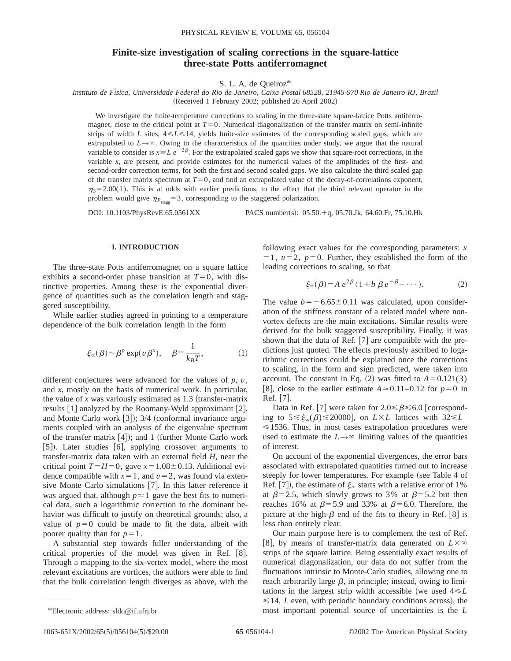# **Finite-size investigation of scaling corrections in the square-lattice three-state Potts antiferromagnet**

S. L. A. de Queiroz\*

*Instituto de Fı´sica, Universidade Federal do Rio de Janeiro, Caixa Postal 68528, 21945-970 Rio de Janeiro RJ, Brazil* (Received 1 February 2002; published 26 April 2002)

We investigate the finite-temperature corrections to scaling in the three-state square-lattice Potts antiferromagnet, close to the critical point at  $T=0$ . Numerical diagonalization of the transfer matrix on semi-infinite strips of width *L* sites,  $4 \le L \le 14$ , yields finite-size estimates of the corresponding scaled gaps, which are extrapolated to  $L \rightarrow \infty$ . Owing to the characteristics of the quantities under study, we argue that the natural variable to consider is  $x = L e^{-2\beta}$ . For the extrapolated scaled gaps we show that square-root corrections, in the variable *x*, are present, and provide estimates for the numerical values of the amplitudes of the first- and second-order correction terms, for both the first and second scaled gaps. We also calculate the third scaled gap of the transfer matrix spectrum at  $T=0$ , and find an extrapolated value of the decay-of-correlations exponent,  $\eta_3$ =2.00(1). This is at odds with earlier predictions, to the effect that the third relevant operator in the problem would give  $\eta_{P_{\text{stagg}}}$ =3, corresponding to the staggered polarization.

DOI: 10.1103/PhysRevE.65.0561XX PACS number(s): 05.50. $+$ q, 05.70.Jk, 64.60.Fr, 75.10.Hk

### **I. INTRODUCTION**

The three-state Potts antiferromagnet on a square lattice exhibits a second-order phase transition at  $T=0$ , with distinctive properties. Among these is the exponential divergence of quantities such as the correlation length and staggered susceptibility.

While earlier studies agreed in pointing to a temperature dependence of the bulk correlation length in the form

$$
\xi_{\infty}(\beta) \sim \beta^p \exp(v\,\beta^x), \quad \beta \equiv \frac{1}{k_B T}, \tag{1}
$$

different conjectures were advanced for the values of *p*, *v*, and *x*, mostly on the basis of numerical work. In particular, the value of  $x$  was variously estimated as  $1.3$  (transfer-matrix results  $[1]$  analyzed by the Roomany-Wyld approximant  $[2]$ , and Monte Carlo work  $\lceil 3 \rceil$ ); 3/4 (conformal invariance arguments coupled with an analysis of the eigenvalue spectrum of the transfer matrix  $[4]$ ); and 1 (further Monte Carlo work [5]). Later studies [6], applying crossover arguments to transfer-matrix data taken with an external field *H*, near the critical point  $T=H=0$ , gave  $x=1.08\pm0.13$ . Additional evidence compatible with  $x=1$ , and  $v=2$ , was found via extensive Monte Carlo simulations  $[7]$ . In this latter reference it was argued that, although  $p \approx 1$  gave the best fits to numerical data, such a logarithmic correction to the dominant behavior was difficult to justify on theoretical grounds; also, a value of  $p=0$  could be made to fit the data, albeit with poorer quality than for  $p=1$ .

A substantial step towards fuller understanding of the critical properties of the model was given in Ref. [8]. Through a mapping to the six-vertex model, where the most relevant excitations are vortices, the authors were able to find that the bulk correlation length diverges as above, with the

$$
\xi_{\infty}(\beta) = A e^{2\beta} (1 + b \beta e^{-\beta} + \cdots). \tag{2}
$$

The value  $b=-6.65\pm0.11$  was calculated, upon consideration of the stiffness constant of a related model where nonvortex defects are the main excitations. Similar results were derived for the bulk staggered susceptibility. Finally, it was shown that the data of Ref.  $[7]$  are compatible with the predictions just quoted. The effects previously ascribed to logarithmic corrections could be explained once the corrections to scaling, in the form and sign predicted, were taken into account. The constant in Eq.  $(2)$  was fitted to  $A=0.121(3)$ [8], close to the earlier estimate  $A \approx 0.11-0.12$  for  $p=0$  in Ref. [7].

Data in Ref. [7] were taken for  $2.0 \le \beta \le 6.0$  [corresponding to  $5 \leq \xi_{\infty}(\beta) \leq 20000$ , on *L*×*L* lattices with  $32 \leq L$  $\leq$ 1536. Thus, in most cases extrapolation procedures were used to estimate the  $L \rightarrow \infty$  limiting values of the quantities of interest.

On account of the exponential divergences, the error bars associated with extrapolated quantities turned out to increase steeply for lower temperatures. For example (see Table 4 of Ref. [7]), the estimate of  $\xi_{\infty}$  starts with a relative error of 1% at  $\beta$ =2.5, which slowly grows to 3% at  $\beta$ =5.2 but then reaches 16% at  $\beta$ =5.9 and 33% at  $\beta$ =6.0. Therefore, the picture at the high- $\beta$  end of the fits to theory in Ref. [8] is less than entirely clear.

Our main purpose here is to complement the test of Ref. [8], by means of transfer-matrix data generated on  $L \times \infty$ strips of the square lattice. Being essentially exact results of numerical diagonalization, our data do not suffer from the fluctuations intrinsic to Monte-Carlo studies, allowing one to reach arbitrarily large  $\beta$ , in principle; instead, owing to limitations in the largest strip width accessible (we used  $4 \le L$  $\leq$  14, *L* even, with periodic boundary conditions across), the \*Electronic address: sldq@if.ufrj.br most important potential source of uncertainties is the *L*

following exact values for the corresponding parameters: *x*  $=1, v=2, p=0$ . Further, they established the form of the leading corrections to scaling, so that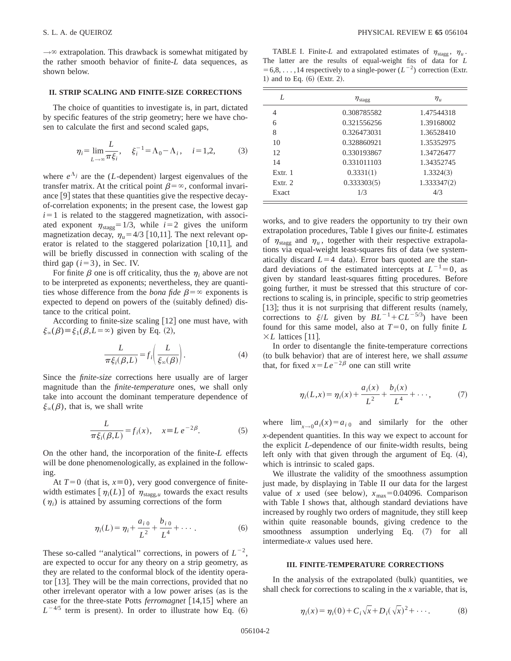$\rightarrow \infty$  extrapolation. This drawback is somewhat mitigated by the rather smooth behavior of finite-*L* data sequences, as shown below.

## **II. STRIP SCALING AND FINITE-SIZE CORRECTIONS**

The choice of quantities to investigate is, in part, dictated by specific features of the strip geometry; here we have chosen to calculate the first and second scaled gaps,

$$
\eta_i = \lim_{L \to \infty} \frac{L}{\pi \xi_i}, \quad \xi_i^{-1} = \Lambda_0 - \Lambda_i, \quad i = 1, 2,
$$
 (3)

where  $e^{\Lambda_j}$  are the (*L*-dependent) largest eigenvalues of the transfer matrix. At the critical point  $\beta = \infty$ , conformal invariance  $[9]$  states that these quantities give the respective decayof-correlation exponents; in the present case, the lowest gap  $i=1$  is related to the staggered magnetization, with associated exponent  $\eta_{\text{stagg}}=1/3$ , while  $i=2$  gives the uniform magnetization decay,  $\eta_u$ =4/3 [10,11]. The next relevant operator is related to the staggered polarization  $[10,11]$ , and will be briefly discussed in connection with scaling of the third gap  $(i=3)$ , in Sec. IV.

For finite  $\beta$  one is off criticality, thus the  $\eta_i$  above are not to be interpreted as exponents; nevertheless, they are quantities whose difference from the *bona fide*  $\beta = \infty$  exponents is expected to depend on powers of the (suitably defined) distance to the critical point.

According to finite-size scaling  $[12]$  one must have, with  $\xi_{\infty}(\beta) \equiv \xi_1(\beta, L = \infty)$  given by Eq. (2),

$$
\frac{L}{\pi \xi_i(\beta, L)} = f_i \bigg( \frac{L}{\xi_\infty(\beta)} \bigg). \tag{4}
$$

Since the *finite-size* corrections here usually are of larger magnitude than the *finite-temperature* ones, we shall only take into account the dominant temperature dependence of  $\xi_{\infty}(\beta)$ , that is, we shall write

$$
\frac{L}{\pi \xi_i(\beta, L)} = f_i(x), \quad x \equiv L e^{-2\beta}.
$$
 (5)

On the other hand, the incorporation of the finite-*L* effects will be done phenomenologically, as explained in the following.

At  $T=0$  (that is,  $x=0$ ), very good convergence of finitewidth estimates  $[\eta_i(L)]$  of  $\eta_{\text{stagg},u}$  towards the exact results  $(\eta_i)$  is attained by assuming corrections of the form

$$
\eta_i(L) = \eta_i + \frac{a_{i\,0}}{L^2} + \frac{b_{i\,0}}{L^4} + \cdots \,. \tag{6}
$$

These so-called "analytical" corrections, in powers of  $L^{-2}$ , are expected to occur for any theory on a strip geometry, as they are related to the conformal block of the identity operator  $[13]$ . They will be the main corrections, provided that no other irrelevant operator with a low power arises (as is the case for the three-state Potts *ferromagnet* [14,15] where an  $L^{-4/5}$  term is present). In order to illustrate how Eq.  $(6)$ 

TABLE I. Finite-*L* and extrapolated estimates of  $\eta_{\text{stagg}}$ ,  $\eta_u$ . The latter are the results of equal-weight fits of data for *L*  $=6,8,\ldots,14$  respectively to a single-power  $(L^{-2})$  correction (Extr.) 1) and to Eq.  $(6)$  (Extr. 2).

| L         | $\eta_{\rm stag}$ | $\eta_u$    |
|-----------|-------------------|-------------|
| 4         | 0.308785582       | 1.47544318  |
| 6         | 0.321556256       | 1.39168002  |
| 8         | 0.326473031       | 1.36528410  |
| 10        | 0.328860921       | 1.35352975  |
| 12        | 0.330193867       | 1.34726477  |
| 14        | 0.331011103       | 1.34352745  |
| Extr. 1   | 0.3331(1)         | 1.3324(3)   |
| Extr. $2$ | 0.333303(5)       | 1.333347(2) |
| Exact     | 1/3               | 4/3         |

works, and to give readers the opportunity to try their own extrapolation procedures, Table I gives our finite-*L* estimates of  $\eta_{\text{stagg}}$  and  $\eta_u$ , together with their respective extrapolations via equal-weight least-squares fits of data (we systematically discard  $L=4$  data). Error bars quoted are the standard deviations of the estimated intercepts at  $L^{-1}=0$ , as given by standard least-squares fitting procedures. Before going further, it must be stressed that this structure of corrections to scaling is, in principle, specific to strip geometries  $[13]$ ; thus it is not surprising that different results (namely, corrections to  $\xi/L$  given by  $BL^{-1} + CL^{-5/3}$ ) have been found for this same model, also at  $T=0$ , on fully finite L  $\times L$  lattices [11].

In order to disentangle the finite-temperature corrections (to bulk behavior) that are of interest here, we shall *assume* that, for fixed  $x=Le^{-2\beta}$  one can still write

$$
\eta_i(L,x) = \eta_i(x) + \frac{a_i(x)}{L^2} + \frac{b_i(x)}{L^4} + \cdots, \qquad (7)
$$

where  $\lim_{x\to 0} a_i(x) = a_{i,0}$  and similarly for the other *x*-dependent quantities. In this way we expect to account for the explicit *L*-dependence of our finite-width results, being left only with that given through the argument of Eq.  $(4)$ , which is intrinsic to scaled gaps.

We illustrate the validity of the smoothness assumption just made, by displaying in Table II our data for the largest value of *x* used (see below),  $x_{\text{max}}=0.04096$ . Comparison with Table I shows that, although standard deviations have increased by roughly two orders of magnitude, they still keep within quite reasonable bounds, giving credence to the smoothness assumption underlying Eq. (7) for all intermediate-*x* values used here.

#### **III. FINITE-TEMPERATURE CORRECTIONS**

In the analysis of the extrapolated (bulk) quantities, we shall check for corrections to scaling in the *x* variable, that is,

$$
\eta_i(x) = \eta_i(0) + C_i \sqrt{x} + D_i(\sqrt{x})^2 + \cdots. \tag{8}
$$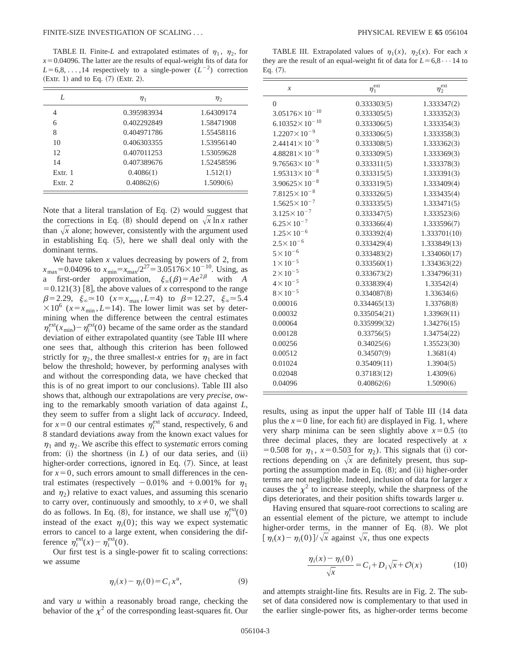TABLE II. Finite-L and extrapolated estimates of  $\eta_1$ ,  $\eta_2$ , for  $x=0.04096$ . The latter are the results of equal-weight fits of data for  $L=6,8,\ldots,14$  respectively to a single-power  $(L^{-2})$  correction  $(Extr. 1)$  and to Eq.  $(7)$   $(Extr. 2)$ .

| L         | $\eta_1$    | $\eta_2$   |
|-----------|-------------|------------|
| 4         | 0.395983934 | 1.64309174 |
| 6         | 0.402292849 | 1.58471908 |
| 8         | 0.404971786 | 1.55458116 |
| 10        | 0.406303355 | 1.53956140 |
| 12        | 0.407011253 | 1.53059628 |
| 14        | 0.407389676 | 1.52458596 |
| Extr. 1   | 0.4086(1)   | 1.512(1)   |
| Extr. $2$ | 0.40862(6)  | 1.5090(6)  |

Note that a literal translation of Eq.  $(2)$  would suggest that the corrections in Eq. (8) should depend on  $\sqrt{x} \ln x$  rather than  $\sqrt{x}$  alone; however, consistently with the argument used in establishing Eq.  $(5)$ , here we shall deal only with the dominant terms.

We have taken *x* values decreasing by powers of 2, from  $x_{\text{max}}$ =0.04096 to  $x_{\text{min}}$ = $x_{\text{max}}/2^{27}$ =3.05176 $\times$ 10<sup>-10</sup>. Using, as a first-order approximation,  $\xi_{\infty}(\beta)=Ae^{2\beta}$  with *A*  $=0.121(3)$  [8], the above values of *x* correspond to the range  $\beta=2.29, \xi_{\infty}\approx 10 \ (x=x_{\text{max}}, L=4) \text{ to } \beta=12.27, \xi_{\infty}\approx 5.4$  $\times 10^6$  ( $x=x_{\text{min}}$ , *L*=14). The lower limit was set by determining when the difference between the central estimates  $\eta_i^{\text{ext}}(x_{\text{min}}) - \eta_i^{\text{ext}}(0)$  became of the same order as the standard deviation of either extrapolated quantity (see Table III where one sees that, although this criterion has been followed strictly for  $\eta_2$ , the three smallest-*x* entries for  $\eta_1$  are in fact below the threshold; however, by performing analyses with and without the corresponding data, we have checked that this is of no great import to our conclusions). Table III also shows that, although our extrapolations are very *precise*, owing to the remarkably smooth variation of data against *L*, they seem to suffer from a slight lack of *accuracy*. Indeed, for  $x=0$  our central estimates  $\eta_i^{\text{ext}}$  stand, respectively, 6 and 8 standard deviations away from the known exact values for  $\eta_1$  and  $\eta_2$ . We ascribe this effect to *systematic* errors coming from:  $(i)$  the shortness  $(in L)$  of our data series, and  $(ii)$ higher-order corrections, ignored in Eq. (7). Since, at least for  $x=0$ , such errors amount to small differences in the central estimates (respectively  $-0.01\%$  and  $+0.001\%$  for  $\eta_1$ and  $\eta_2$ ) relative to exact values, and assuming this scenario to carry over, continuously and smoothly, to  $x \neq 0$ , we shall do as follows. In Eq. (8), for instance, we shall use  $\eta_i^{\text{ext}}(0)$ instead of the exact  $\eta_i(0)$ ; this way we expect systematic errors to cancel to a large extent, when considering the difference  $\eta_i^{\text{ext}}(x) - \eta_i^{\text{ext}}(0)$ .

Our first test is a single-power fit to scaling corrections: we assume

$$
\eta_i(x) - \eta_i(0) = C_i x^u, \tag{9}
$$

and vary *u* within a reasonably broad range, checking the behavior of the  $\chi^2$  of the corresponding least-squares fit. Our

TABLE III. Extrapolated values of  $\eta_1(x)$ ,  $\eta_2(x)$ . For each *x* they are the result of an equal-weight fit of data for  $L=6,8\cdots 14$  to Eq.  $(7)$ .

| $\boldsymbol{\mathcal{X}}$ | $\eta_1^{\text{ext}}$ | $\eta_2^{\rm ext}$ |
|----------------------------|-----------------------|--------------------|
| $\theta$                   | 0.333303(5)           | 1.333347(2)        |
| $3.05176 \times 10^{-10}$  | 0.333305(5)           | 1.333352(3)        |
| $6.10352 \times 10^{-10}$  | 0.333306(5)           | 1.333354(3)        |
| $1.2207 \times 10^{-9}$    | 0.333306(5)           | 1.333358(3)        |
| $2.44141 \times 10^{-9}$   | 0.333308(5)           | 1.333362(3)        |
| $4.88281 \times 10^{-9}$   | 0.333309(5)           | 1.333369(3)        |
| $9.76563 \times 10^{-9}$   | 0.333311(5)           | 1.333378(3)        |
| $1.95313 \times 10^{-8}$   | 0.333315(5)           | 1.333391(3)        |
| $3.90625 \times 10^{-8}$   | 0.333319(5)           | 1.333409(4)        |
| $7.8125 \times 10^{-8}$    | 0.333326(5)           | 1.333435(4)        |
| $1.5625 \times 10^{-7}$    | 0.333335(5)           | 1.333471(5)        |
| $3.125 \times 10^{-7}$     | 0.333347(5)           | 1.333523(6)        |
| $6.25 \times 10^{-7}$      | 0.333366(4)           | 1.333596(7)        |
| $1.25 \times 10^{-6}$      | 0.333392(4)           | 1.333701(10)       |
| $2.5 \times 10^{-6}$       | 0.333429(4)           | 1.333849(13)       |
| $5 \times 10^{-6}$         | 0.333483(2)           | 1.334060(17)       |
| $1\times10^{-5}$           | 0.333560(1)           | 1.334363(22)       |
| $2 \times 10^{-5}$         | 0.333673(2)           | 1.334796(31)       |
| $4 \times 10^{-5}$         | 0.333839(4)           | 1.33542(4)         |
| $8 \times 10^{-5}$         | 0.334087(8)           | 1.33634(6)         |
| 0.00016                    | 0.334465(13)          | 1.33768(8)         |
| 0.00032                    | 0.335054(21)          | 1.33969(11)        |
| 0.00064                    | 0.335999(32)          | 1.34276(15)        |
| 0.00128                    | 0.33756(5)            | 1.34754(22)        |
| 0.00256                    | 0.34025(6)            | 1.35523(30)        |
| 0.00512                    | 0.34507(9)            | 1.3681(4)          |
| 0.01024                    | 0.35409(11)           | 1.3904(5)          |
| 0.02048                    | 0.37183(12)           | 1.4309(6)          |
| 0.04096                    | 0.40862(6)            | 1.5090(6)          |
|                            |                       |                    |

results, using as input the upper half of Table III (14 data plus the  $x=0$  line, for each fit) are displayed in Fig. 1, where very sharp minima can be seen slightly above  $x=0.5$  (to three decimal places, they are located respectively at *x* = 0.508 for  $\eta_1$ ,  $x=0.503$  for  $\eta_2$ ). This signals that (i) corrections depending on  $\sqrt{x}$  are definitely present, thus supporting the assumption made in Eq.  $(8)$ ; and  $(ii)$  higher-order terms are not negligible. Indeed, inclusion of data for larger *x* causes the  $\chi^2$  to increase steeply, while the sharpness of the dips deteriorates, and their position shifts towards larger *u*.

Having ensured that square-root corrections to scaling are an essential element of the picture, we attempt to include higher-order terms, in the manner of Eq. (8). We plot  $\int \eta_i(x) - \eta_i(0) \sqrt{x}$  against  $\sqrt{x}$ , thus one expects

$$
\frac{\eta_i(x) - \eta_i(0)}{\sqrt{x}} = C_i + D_i \sqrt{x} + \mathcal{O}(x) \tag{10}
$$

and attempts straight-line fits. Results are in Fig. 2. The subset of data considered now is complementary to that used in the earlier single-power fits, as higher-order terms become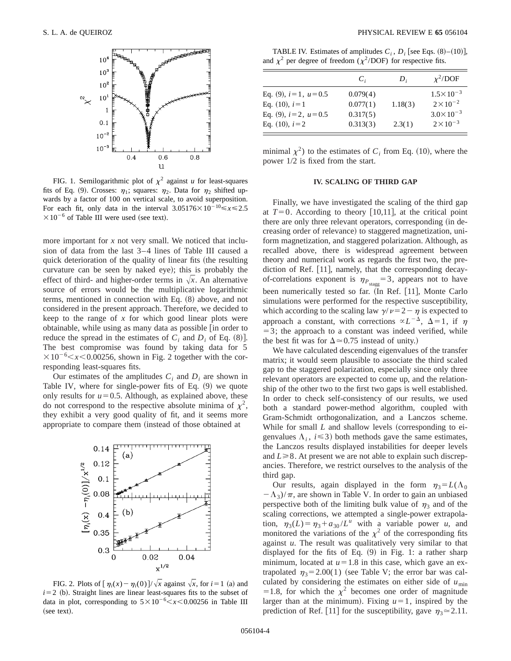

FIG. 1. Semilogarithmic plot of  $\chi^2$  against *u* for least-squares fits of Eq. (9). Crosses:  $\eta_1$ ; squares:  $\eta_2$ . Data for  $\eta_2$  shifted upwards by a factor of 100 on vertical scale, to avoid superposition. For each fit, only data in the interval  $3.05176 \times 10^{-10} \le x \le 2.5$  $\times 10^{-6}$  of Table III were used (see text).

more important for *x* not very small. We noticed that inclusion of data from the last 3–4 lines of Table III caused a quick deterioration of the quality of linear fits (the resulting curvature can be seen by naked eye); this is probably the effect of third- and higher-order terms in  $\sqrt{x}$ . An alternative source of errors would be the multiplicative logarithmic terms, mentioned in connection with Eq.  $(8)$  above, and not considered in the present approach. Therefore, we decided to keep to the range of *x* for which good linear plots were obtainable, while using as many data as possible  $\lceil$  in order to reduce the spread in the estimates of  $C_i$  and  $D_i$  of Eq.  $(8)$ ]. The best compromise was found by taking data for 5  $\times 10^{-6}$  < *x* < 0.00256, shown in Fig. 2 together with the corresponding least-squares fits.

Our estimates of the amplitudes  $C_i$  and  $D_i$  are shown in Table IV, where for single-power fits of Eq.  $(9)$  we quote only results for  $u=0.5$ . Although, as explained above, these do not correspond to the respective absolute minima of  $\chi^2$ , they exhibit a very good quality of fit, and it seems more appropriate to compare them (instead of those obtained at



FIG. 2. Plots of  $\left[\eta_i(x) - \eta_i(0)\right] / \sqrt{x}$  against  $\sqrt{x}$ , for  $i = 1$  (a) and  $i=2$  (b). Straight lines are linear least-squares fits to the subset of data in plot, corresponding to  $5 \times 10^{-6} < x < 0.00256$  in Table III (see text).

TABLE IV. Estimates of amplitudes  $C_i$ ,  $D_i$  [see Eqs.  $(8)$ – $(10)$ ], and  $\chi^2$  per degree of freedom ( $\chi^2$ /DOF) for respective fits.

|                          | $C_i$    | $D_i$   | $\chi^2$ /DOF        |
|--------------------------|----------|---------|----------------------|
| Eq. (9), $i=1$ , $u=0.5$ | 0.079(4) |         | $1.5 \times 10^{-3}$ |
| Eq. $(10)$ , $i=1$       | 0.077(1) | 1.18(3) | $2 \times 10^{-2}$   |
| Eq. (9), $i=2$ , $u=0.5$ | 0.317(5) |         | $3.0 \times 10^{-3}$ |
| Eq. $(10)$ , $i=2$       | 0.313(3) | 2.3(1)  | $2 \times 10^{-3}$   |

minimal  $\chi^2$ ) to the estimates of *C<sub>i</sub>* from Eq. (10), where the power 1/2 is fixed from the start.

#### **IV. SCALING OF THIRD GAP**

Finally, we have investigated the scaling of the third gap at  $T=0$ . According to theory [10,11], at the critical point there are only three relevant operators, corresponding (in decreasing order of relevance) to staggered magnetization, uniform magnetization, and staggered polarization. Although, as recalled above, there is widespread agreement between theory and numerical work as regards the first two, the prediction of Ref.  $[11]$ , namely, that the corresponding decayof-correlations exponent is  $\eta_{P_{\text{stage}}} = 3$ , appears not to have been numerically tested so far. (In Ref. [11], Monte Carlo simulations were performed for the respective susceptibility, which according to the scaling law  $\gamma/\nu=2-\eta$  is expected to approach a constant, with corrections  $\alpha L^{-\Delta}$ ,  $\Delta = 1$ , if  $\eta$  $=$  3; the approach to a constant was indeed verified, while the best fit was for  $\Delta \approx 0.75$  instead of unity.)

We have calculated descending eigenvalues of the transfer matrix; it would seem plausible to associate the third scaled gap to the staggered polarization, especially since only three relevant operators are expected to come up, and the relationship of the other two to the first two gaps is well established. In order to check self-consistency of our results, we used both a standard power-method algorithm, coupled with Gram-Schmidt orthogonalization, and a Lanczos scheme. While for small  $L$  and shallow levels (corresponding to eigenvalues  $\Lambda_i$ ,  $i \leq 3$ ) both methods gave the same estimates, the Lanczos results displayed instabilities for deeper levels and  $L \ge 8$ . At present we are not able to explain such discrepancies. Therefore, we restrict ourselves to the analysis of the third gap.

Our results, again displayed in the form  $\eta_3 = L(\Lambda_0)$  $-\Lambda_3/\pi$ , are shown in Table V. In order to gain an unbiased perspective both of the limiting bulk value of  $\eta_3$  and of the scaling corrections, we attempted a single-power extrapolation,  $\eta_3(L) = \eta_3 + a_{30}/L^u$  with a variable power *u*, and monitored the variations of the  $\chi^2$  of the corresponding fits against *u*. The result was qualitatively very similar to that displayed for the fits of Eq.  $(9)$  in Fig. 1: a rather sharp minimum, located at  $u=1.8$  in this case, which gave an extrapolated  $\eta_3$ = 2.00(1) (see Table V; the error bar was calculated by considering the estimates on either side of  $u_{\min}$ =1.8, for which the  $\chi^2$  becomes one order of magnitude larger than at the minimum). Fixing  $u=1$ , inspired by the prediction of Ref. [11] for the susceptibility, gave  $\eta_3 \approx 2.11$ .